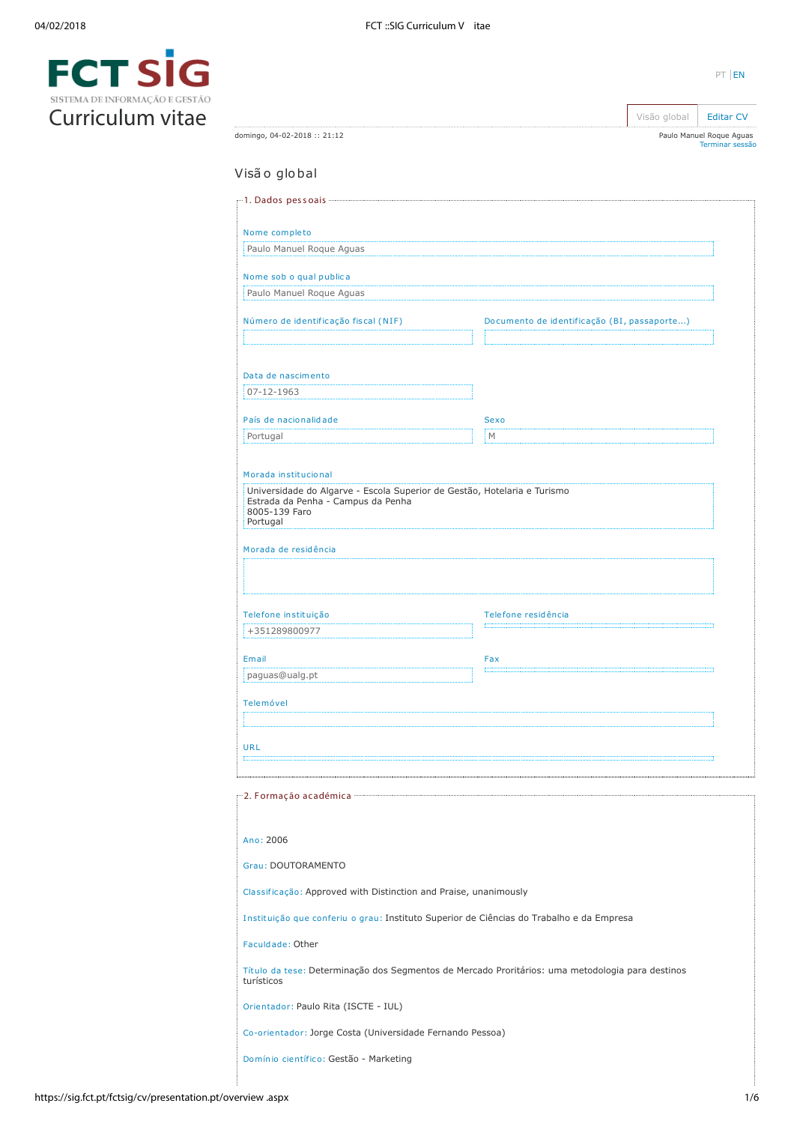domingo, 04-02-2018 :: 21:12



| Visão global                                                                                                                                                                                                                                                                                        |                                                                                                  |
|-----------------------------------------------------------------------------------------------------------------------------------------------------------------------------------------------------------------------------------------------------------------------------------------------------|--------------------------------------------------------------------------------------------------|
|                                                                                                                                                                                                                                                                                                     |                                                                                                  |
| Nome completo                                                                                                                                                                                                                                                                                       |                                                                                                  |
| Paulo Manuel Roque Aguas                                                                                                                                                                                                                                                                            |                                                                                                  |
|                                                                                                                                                                                                                                                                                                     |                                                                                                  |
| Nome sob o qual publica                                                                                                                                                                                                                                                                             |                                                                                                  |
| Paulo Manuel Roque Aguas                                                                                                                                                                                                                                                                            |                                                                                                  |
| Número de identificação fiscal (NIF)                                                                                                                                                                                                                                                                | Documento de identificação (BI, passaporte)                                                      |
|                                                                                                                                                                                                                                                                                                     |                                                                                                  |
|                                                                                                                                                                                                                                                                                                     |                                                                                                  |
| Data de nascimento                                                                                                                                                                                                                                                                                  |                                                                                                  |
| 07-12-1963                                                                                                                                                                                                                                                                                          |                                                                                                  |
| País de nacionalidade                                                                                                                                                                                                                                                                               | <b>Sexo</b>                                                                                      |
| Portugal                                                                                                                                                                                                                                                                                            | M                                                                                                |
|                                                                                                                                                                                                                                                                                                     |                                                                                                  |
| Morada institucional                                                                                                                                                                                                                                                                                |                                                                                                  |
| Universidade do Algarve - Escola Superior de Gestão, Hotelaria e Turismo                                                                                                                                                                                                                            |                                                                                                  |
| Estrada da Penha - Campus da Penha<br>8005-139 Faro                                                                                                                                                                                                                                                 |                                                                                                  |
| Portugal                                                                                                                                                                                                                                                                                            |                                                                                                  |
| Morada de residência                                                                                                                                                                                                                                                                                |                                                                                                  |
|                                                                                                                                                                                                                                                                                                     |                                                                                                  |
|                                                                                                                                                                                                                                                                                                     |                                                                                                  |
|                                                                                                                                                                                                                                                                                                     |                                                                                                  |
| Telefone instituição                                                                                                                                                                                                                                                                                | Telefone residência                                                                              |
| +351289800977                                                                                                                                                                                                                                                                                       |                                                                                                  |
| Email                                                                                                                                                                                                                                                                                               | Fax                                                                                              |
| paguas@ualg.pt                                                                                                                                                                                                                                                                                      |                                                                                                  |
|                                                                                                                                                                                                                                                                                                     |                                                                                                  |
| Telemóvel                                                                                                                                                                                                                                                                                           |                                                                                                  |
|                                                                                                                                                                                                                                                                                                     |                                                                                                  |
| URL                                                                                                                                                                                                                                                                                                 |                                                                                                  |
|                                                                                                                                                                                                                                                                                                     |                                                                                                  |
|                                                                                                                                                                                                                                                                                                     |                                                                                                  |
| re 2. Formação académica e communicadamente a proportivamente de la proportivamente de la proportivamente de l                                                                                                                                                                                      |                                                                                                  |
|                                                                                                                                                                                                                                                                                                     |                                                                                                  |
| Ano: 2006                                                                                                                                                                                                                                                                                           |                                                                                                  |
|                                                                                                                                                                                                                                                                                                     |                                                                                                  |
| Grau: DOUTORAMENTO                                                                                                                                                                                                                                                                                  |                                                                                                  |
|                                                                                                                                                                                                                                                                                                     |                                                                                                  |
|                                                                                                                                                                                                                                                                                                     |                                                                                                  |
|                                                                                                                                                                                                                                                                                                     |                                                                                                  |
|                                                                                                                                                                                                                                                                                                     |                                                                                                  |
|                                                                                                                                                                                                                                                                                                     |                                                                                                  |
|                                                                                                                                                                                                                                                                                                     | Título da tese: Determinação dos Segmentos de Mercado Proritários: uma metodologia para destinos |
|                                                                                                                                                                                                                                                                                                     |                                                                                                  |
| Classificação: Approved with Distinction and Praise, unanimously<br>Instituição que conferiu o grau: Instituto Superior de Ciências do Trabalho e da Empresa<br>Faculdade: Other<br>turísticos<br>Orientador: Paulo Rita (ISCTE - IUL)<br>Co-orientador: Jorge Costa (Universidade Fernando Pessoa) |                                                                                                  |

PT [EN](https://sig.fct.pt/fctsig/cv/presentation.en/overview.aspx)

Visão global **[Editar CV](https://sig.fct.pt/fctsig/cv/presentation.pt/editCV.aspx)** Paulo Manuel Roque Aguas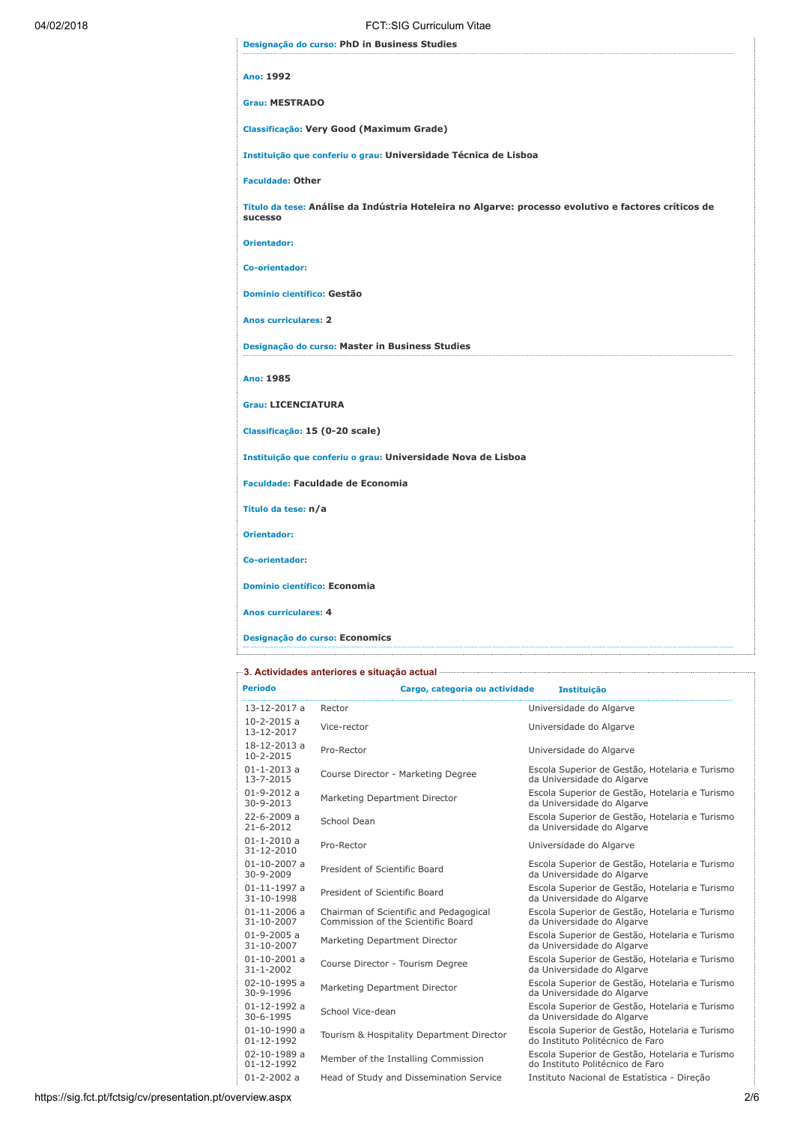| 04/02/2018 | FCT::SIG Curriculum Vitae                                                                                       |
|------------|-----------------------------------------------------------------------------------------------------------------|
|            | Designação do curso: PhD in Business Studies                                                                    |
|            | Ano: 1992                                                                                                       |
|            | <b>Grau: MESTRADO</b>                                                                                           |
|            | Classificação: Very Good (Maximum Grade)                                                                        |
|            | Instituição que conferiu o grau: Universidade Técnica de Lisboa                                                 |
|            | <b>Faculdade: Other</b>                                                                                         |
|            | Título da tese: Análise da Indústria Hoteleira no Algarve: processo evolutivo e factores críticos de<br>sucesso |
|            | <b>Orientador:</b>                                                                                              |
|            | Co-orientador:                                                                                                  |
|            | Domínio científico: Gestão                                                                                      |
|            | <b>Anos curriculares: 2</b>                                                                                     |
|            | Designação do curso: Master in Business Studies                                                                 |
|            | Ano: 1985                                                                                                       |
|            | <b>Grau: LICENCIATURA</b>                                                                                       |
|            | Classificação: 15 (0-20 scale)                                                                                  |
|            | Instituição que conferiu o grau: Universidade Nova de Lisboa                                                    |
|            | <b>Faculdade: Faculdade de Economia</b>                                                                         |
|            | Título da tese: n/a                                                                                             |
|            | <b>Orientador:</b>                                                                                              |
|            | Co-orientador:                                                                                                  |
|            | Domínio científico: Economia                                                                                    |
|            | <b>Anos curriculares: 4</b>                                                                                     |
|            | Designação do curso: Economics                                                                                  |

# 3. Actividades anteriores e situação actual

| Período                                | Cargo, categoria ou actividade                                               | <b>Instituição</b>                                                                 |  |
|----------------------------------------|------------------------------------------------------------------------------|------------------------------------------------------------------------------------|--|
| 13-12-2017 a                           | Rector                                                                       | Universidade do Algarve                                                            |  |
| $10 - 2 - 2015$ a<br>13-12-2017        | Vice-rector                                                                  | Universidade do Algarve                                                            |  |
| 18-12-2013 a<br>10-2-2015              | Pro-Rector                                                                   | Universidade do Algarve                                                            |  |
| $01 - 1 - 2013$ a<br>13-7-2015         | Course Director - Marketing Degree                                           | Escola Superior de Gestão, Hotelaria e Turismo<br>da Universidade do Algarve       |  |
| $01 - 9 - 2012a$<br>30-9-2013          | Marketing Department Director                                                | Escola Superior de Gestão, Hotelaria e Turismo<br>da Universidade do Algarve       |  |
| 22-6-2009 a<br>$21 - 6 - 2012$         | School Dean                                                                  | Escola Superior de Gestão, Hotelaria e Turismo<br>da Universidade do Algarve       |  |
| $01 - 1 - 2010$ a<br>31-12-2010        | Pro-Rector                                                                   | Universidade do Algarve                                                            |  |
| $01 - 10 - 2007$ a<br>30-9-2009        | President of Scientific Board                                                | Escola Superior de Gestão, Hotelaria e Turismo<br>da Universidade do Algarve       |  |
| $01 - 11 - 1997$ a<br>31-10-1998       | President of Scientific Board                                                | Escola Superior de Gestão, Hotelaria e Turismo<br>da Universidade do Algarve       |  |
| $01 - 11 - 2006$ a<br>31-10-2007       | Chairman of Scientific and Pedagogical<br>Commission of the Scientific Board | Escola Superior de Gestão, Hotelaria e Turismo<br>da Universidade do Algarve       |  |
| $01 - 9 - 2005$ a<br>31-10-2007        | Marketing Department Director                                                | Escola Superior de Gestão, Hotelaria e Turismo<br>da Universidade do Algarve       |  |
| $01 - 10 - 2001$ a<br>$31 - 1 - 2002$  | Course Director - Tourism Degree                                             | Escola Superior de Gestão, Hotelaria e Turismo<br>da Universidade do Algarve       |  |
| 02-10-1995 a<br>30-9-1996              | Marketing Department Director                                                | Escola Superior de Gestão, Hotelaria e Turismo<br>da Universidade do Algarve       |  |
| $01 - 12 - 1992$ a<br>30-6-1995        | School Vice-dean                                                             | Escola Superior de Gestão, Hotelaria e Turismo<br>da Universidade do Algarve       |  |
| $01 - 10 - 1990$ a<br>$01 - 12 - 1992$ | Tourism & Hospitality Department Director                                    | Escola Superior de Gestão, Hotelaria e Turismo<br>do Instituto Politécnico de Faro |  |
| 02-10-1989 a<br>01-12-1992             | Member of the Installing Commission                                          | Escola Superior de Gestão, Hotelaria e Turismo<br>do Instituto Politécnico de Faro |  |
| $01 - 2 - 2002a$                       | Head of Study and Dissemination Service                                      | Instituto Nacional de Estatística - Direcão                                        |  |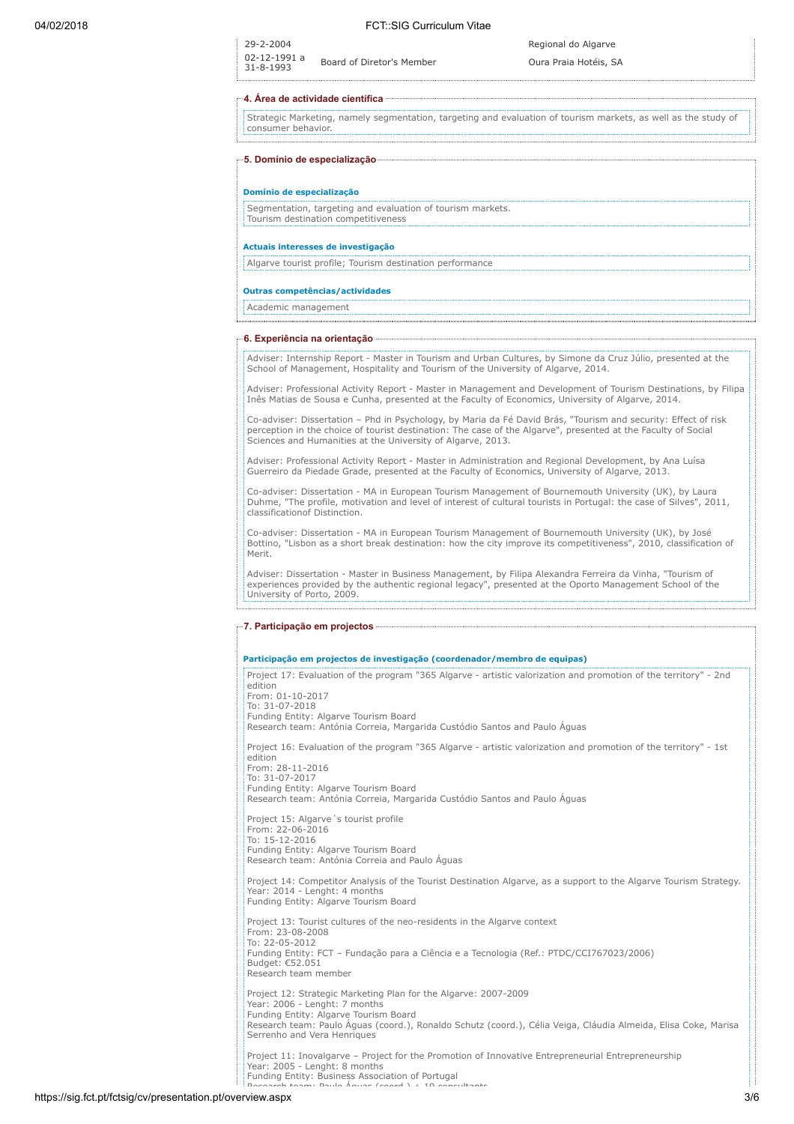.................................

29-2-2004 Regional do Algarve

Board of Diretor's Member Cura Praia Hotéis, SA

#### 4. Área de actividade científica

02-12-1991 a

Strategic Marketing, namely segmentation, targeting and evaluation of tourism markets, as well as the study of consumer behavior.

| Domínio de especialização          |                                                                                                   |  |
|------------------------------------|---------------------------------------------------------------------------------------------------|--|
|                                    | Segmentation, targeting and evaluation of tourism markets.<br>Tourism destination competitiveness |  |
|                                    |                                                                                                   |  |
|                                    |                                                                                                   |  |
| Actuais interesses de investigação | Algarve tourist profile; Tourism destination performance                                          |  |

#### 6. Experiência na orientação

Adviser: Internship Report - Master in Tourism and Urban Cultures, by Simone da Cruz Júlio, presented at the School of Management, Hospitality and Tourism of the University of Algarve, 2014.

Adviser: Professional Activity Report - Master in Management and Development of Tourism Destinations, by Filipa Inês Matias de Sousa e Cunha, presented at the Faculty of Economics, University of Algarve, 2014.

Co-adviser: Dissertation – Phd in Psychology, by Maria da Fé David Brás, "Tourism and security: Effect of risk perception in the choice of tourist destination: The case of the Algarve", presented at the Faculty of Social Sciences and Humanities at the University of Algarve, 2013.

Adviser: Professional Activity Report - Master in Administration and Regional Development, by Ana Luísa Guerreiro da Piedade Grade, presented at the Faculty of Economics, University of Algarve, 2013.

Co-adviser: Dissertation - MA in European Tourism Management of Bournemouth University (UK), by Laura Duhme, "The profile, motivation and level of interest of cultural tourists in Portugal: the case of Silves", 2011, classificationof Distinction.

Co-adviser: Dissertation - MA in European Tourism Management of Bournemouth University (UK), by José Bottino, "Lisbon as a short break destination: how the city improve its competitiveness", 2010, classification of Merit.

Adviser: Dissertation - Master in Business Management, by Filipa Alexandra Ferreira da Vinha, "Tourism of experiences provided by the authentic regional legacy", presented at the Oporto Management School of the University of Porto, 2009.

#### 7. Participação em projectos

### Participação em projectos de investigação (coordenador/membro de equipas)

Project 17: Evaluation of the program "365 Algarve - artistic valorization and promotion of the territory" - 2nd edition From: 01-10-2017 To: 31-07-2018 Funding Entity: Algarve Tourism Board Research team: Antónia Correia, Margarida Custódio Santos and Paulo Águas Project 16: Evaluation of the program "365 Algarve - artistic valorization and promotion of the territory" - 1st edition From: 28-11-2016 To: 31-07-2017 Funding Entity: Algarve Tourism Board Research team: Antónia Correia, Margarida Custódio Santos and Paulo Águas Project 15: Algarve´s tourist profile From: 22-06-2016 To: 15-12-2016 Funding Entity: Algarve Tourism Board Research team: Antónia Correia and Paulo Águas Project 14: Competitor Analysis of the Tourist Destination Algarve, as a support to the Algarve Tourism Strategy. Year: 2014 - Lenght: 4 months Funding Entity: Algarve Tourism Board Project 13: Tourist cultures of the neo-residents in the Algarve context From: 23-08-2008 To: 22-05-2012 Funding Entity: FCT – Fundação para a Ciência e a Tecnologia (Ref.: PTDC/CCI767023/2006) Budget: €52.051 Research team member Project 12: Strategic Marketing Plan for the Algarve: 2007-2009 Year: 2006 - Lenght: 7 months Funding Entity: Algarve Tourism Board

Research team: Paulo Águas (coord.), Ronaldo Schutz (coord.), Célia Veiga, Cláudia Almeida, Elisa Coke, Marisa Serrenho and Vera Henriques

Project 11: Inovalgarve – Project for the Promotion of Innovative Entrepreneurial Entrepreneurship Year: 2005 - Lenght: 8 months Funding Entity: Business Association of Portugal Research team: Paulo Águas (coord ) + 19 consultants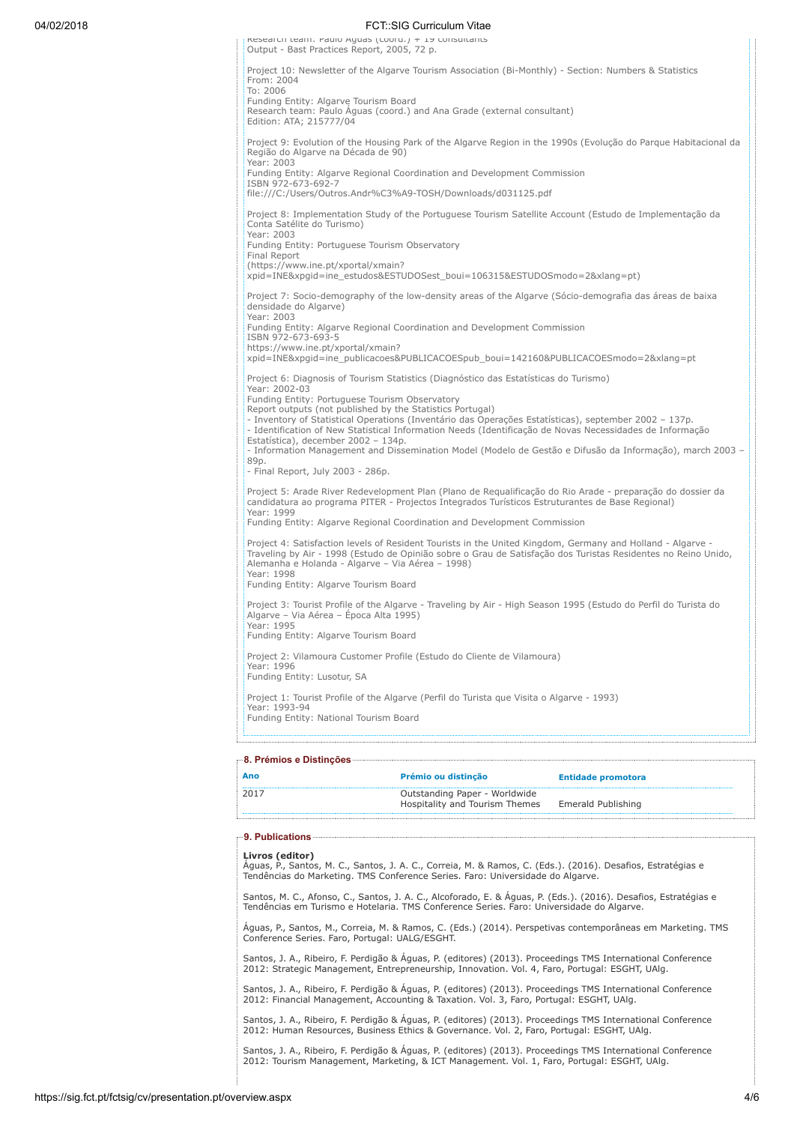## 04/02/2018 FCT::SIG Curriculum Vitae

Research team: Paulo Águas (coord.) + 19 consultants Output - Bast Practices Report, 2005, 72 p. Project 10: Newsletter of the Algarve Tourism Association (Bi-Monthly) - Section: Numbers & Statistics From: 2004 To: 2006 Funding Entity: Algarve Tourism Board Research team: Paulo Águas (coord.) and Ana Grade (external consultant) Edition: ATA; 215777/04 Project 9: Evolution of the Housing Park of the Algarve Region in the 1990s (Evolução do Parque Habitacional da Região do Algarve na Década de 90) Year: 2003 Funding Entity: Algarve Regional Coordination and Development Commission ISBN 972-673-692-7 file:///C:/Users/Outros.Andr%C3%A9-TOSH/Downloads/d031125.pdf Project 8: Implementation Study of the Portuguese Tourism Satellite Account (Estudo de Implementação da Conta Satélite do Turismo) Year: 2003 Funding Entity: Portuguese Tourism Observatory Final Report (https://www.ine.pt/xportal/xmain? xpid=INE&xpgid=ine\_estudos&ESTUDOSest\_boui=106315&ESTUDOSmodo=2&xlang=pt) Project 7: Socio-demography of the low-density areas of the Algarve (Sócio-demografia das áreas de baixa densidade do Algarve) Year: 2003 Funding Entity: Algarve Regional Coordination and Development Commission ISBN 972-673-693-5 https://www.ine.pt/xportal/xmain? xpid=INE&xpgid=ine\_publicacoes&PUBLICACOESpub\_boui=142160&PUBLICACOESmodo=2&xlang=pt Project 6: Diagnosis of Tourism Statistics (Diagnóstico das Estatísticas do Turismo) Year: 2002-03 Funding Entity: Portuguese Tourism Observatory Report outputs (not published by the Statistics Portugal) - Inventory of Statistical Operations (Inventário das Operações Estatísticas), september 2002 – 137p. - Identification of New Statistical Information Needs (Identificação de Novas Necessidades de Informação Estatística), december 2002 – 134p. - Information Management and Dissemination Model (Modelo de Gestão e Difusão da Informação), march 2003 – 89p. - Final Report, July 2003 - 286p. Project 5: Arade River Redevelopment Plan (Plano de Requalificação do Rio Arade - preparação do dossier da<br>candidatura ao programa PITER - Projectos Integrados Turísticos Estruturantes de Base Regional) Year: 1999 Funding Entity: Algarve Regional Coordination and Development Commission Project 4: Satisfaction levels of Resident Tourists in the United Kingdom, Germany and Holland - Algarve Traveling by Air - 1998 (Estudo de Opinião sobre o Grau de Satisfação dos Turistas Residentes no Reino Unido, Alemanha e Holanda - Algarve – Via Aérea – 1998) Year: 1998 Funding Entity: Algarve Tourism Board Project 3: Tourist Profile of the Algarve - Traveling by Air - High Season 1995 (Estudo do Perfil do Turista do Algarve – Via Aérea – Época Alta 1995) Year: 1995 Funding Entity: Algarve Tourism Board Project 2: Vilamoura Customer Profile (Estudo do Cliente de Vilamoura) Year: 1996 Funding Entity: Lusotur, SA Project 1: Tourist Profile of the Algarve (Perfil do Turista que Visita o Algarve - 1993) Year: 1993-94 Funding Entity: National Tourism Board

### 8. Prémios e Distinções

| Ano  | Prémio ou distinção            | <b>Entidade promotora</b> |
|------|--------------------------------|---------------------------|
| 2017 | Outstanding Paper - Worldwide  |                           |
|      | Hospitality and Tourism Themes | Emerald Publishing        |
|      |                                |                           |

### 9. Publications

#### Livros (editor)

Águas, P., Santos, M. C., Santos, J. A. C., Correia, M. & Ramos, C. (Eds.). (2016). Desafios, Estratégias e Tendências do Marketing. TMS Conference Series. Faro: Universidade do Algarve.

Santos, M. C., Afonso, C., Santos, J. A. C., Alcoforado, E. & Águas, P. (Eds.). (2016). Desafios, Estratégias e Tendências em Turismo e Hotelaria. TMS Conference Series. Faro: Universidade do Algarve.

Águas, P., Santos, M., Correia, M. & Ramos, C. (Eds.) (2014). Perspetivas contemporâneas em Marketing. TMS Conference Series. Faro, Portugal: UALG/ESGHT.

antos, J. A., Ribeiro, F. Perdigão & Águas, P. (editores) (2013). Proceedings TMS International Conference 2012: Strategic Management, Entrepreneurship, Innovation. Vol. 4, Faro, Portugal: ESGHT, UAlg.

Santos, J. A., Ribeiro, F. Perdigão & Águas, P. (editores) (2013). Proceedings TMS International Conference 2012: Financial Management, Accounting & Taxation. Vol. 3, Faro, Portugal: ESGHT, UAlg.

Santos, J. A., Ribeiro, F. Perdigão & Águas, P. (editores) (2013). Proceedings TMS International Conference 2012: Human Resources, Business Ethics & Governance. Vol. 2, Faro, Portugal: ESGHT, UAlg.

Santos, J. A., Ribeiro, F. Perdigão & Águas, P. (editores) (2013). Proceedings TMS International Conference 2012: Tourism Management, Marketing, & ICT Management. Vol. 1, Faro, Portugal: ESGHT, UAlg.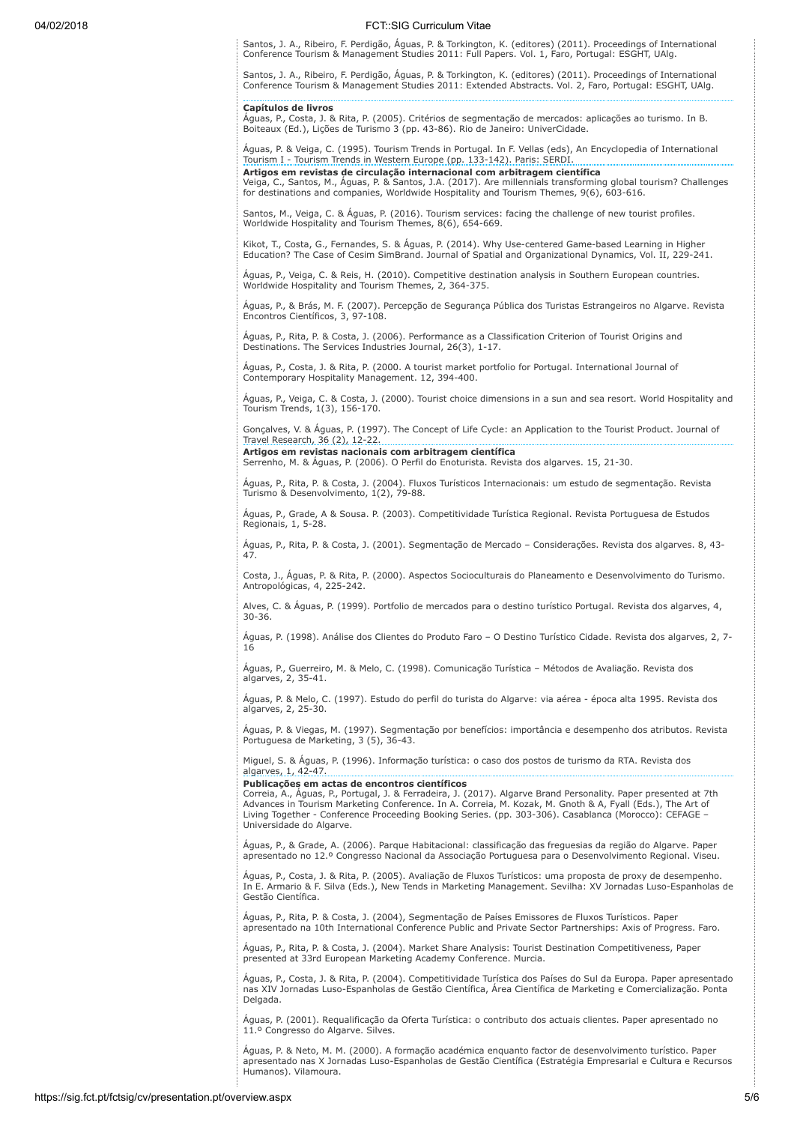# 04/02/2018 FCT::SIG Curriculum Vitae

Santos, J. A., Ribeiro, F. Perdigão, Águas, P. & Torkington, K. (editores) (2011). Proceedings of International Conference Tourism & Management Studies 2011: Full Papers. Vol. 1, Faro, Portugal: ESGHT, UAlg.

Santos, J. A., Ribeiro, F. Perdigão, Águas, P. & Torkington, K. (editores) (2011). Proceedings of International Conference Tourism & Management Studies 2011: Extended Abstracts. Vol. 2, Faro, Portugal: ESGHT, UAlg.

# Capítulos de livros

Águas, P., Costa, J. & Rita, P. (2005). Critérios de segmentação de mercados: aplicações ao turismo. In B. Boiteaux (Ed.), Lições de Turismo 3 (pp. 43-86). Rio de Janeiro: UniverCidade.

Águas, P. & Veiga, C. (1995). Tourism Trends in Portugal. In F. Vellas (eds), An Encyclopedia of International Tourism I - Tourism Trends in Western Europe (pp. 133-142). Paris: SERDI. Artigos em revistas de circulação internacional com arbitragem científica

Veiga, C., Santos, M., Águas, P. & Santos, J.A. (2017). Are millennials transforming global tourism? Challenges for destinations and companies, Worldwide Hospitality and Tourism Themes, 9(6), 603-616.

Santos, M., Veiga, C. & Águas, P. (2016). Tourism services: facing the challenge of new tourist profiles. Worldwide Hospitality and Tourism Themes, 8(6), 654-669.

Kikot, T., Costa, G., Fernandes, S. & Águas, P. (2014). Why Use-centered Game-based Learning in Higher Education? The Case of Cesim SimBrand. Journal of Spatial and Organizational Dynamics, Vol. II, 229-241.

Águas, P., Veiga, C. & Reis, H. (2010). Competitive destination analysis in Southern European countries. Worldwide Hospitality and Tourism Themes, 2, 364-375.

Águas, P., & Brás, M. F. (2007). Percepção de Segurança Pública dos Turistas Estrangeiros no Algarve. Revista Encontros Científicos, 3, 97-108.

Águas, P., Rita, P. & Costa, J. (2006). Performance as a Classification Criterion of Tourist Origins and Destinations. The Services Industries Journal, 26(3), 1-17.

Águas, P., Costa, J. & Rita, P. (2000. A tourist market portfolio for Portugal. International Journal of Contemporary Hospitality Management. 12, 394-400.

Águas, P., Veiga, C. & Costa, J. (2000). Tourist choice dimensions in a sun and sea resort. World Hospitality and Tourism Trends, 1(3), 156-170.

Gonçalves, V. & Águas, P. (1997). The Concept of Life Cycle: an Application to the Tourist Product. Journal of Travel Research, 36 (2), 12-22.

Artigos em revistas nacionais com arbitragem científica Serrenho, M. & Águas, P. (2006). O Perfil do Enoturista. Revista dos algarves. 15, 21-30.

Águas, P., Rita, P. & Costa, J. (2004). Fluxos Turísticos Internacionais: um estudo de segmentação. Revista Turismo & Desenvolvimento, 1(2), 79-88.

Águas, P., Grade, A & Sousa. P. (2003). Competitividade Turística Regional. Revista Portuguesa de Estudos Regionais, 1, 5-28.

Águas, P., Rita, P. & Costa, J. (2001). Segmentação de Mercado – Considerações. Revista dos algarves. 8, 43- 47.

Costa, J., Águas, P. & Rita, P. (2000). Aspectos Socioculturais do Planeamento e Desenvolvimento do Turismo. Antropológicas, 4, 225-242.

Alves, C. & Águas, P. (1999). Portfolio de mercados para o destino turístico Portugal. Revista dos algarves, 4, 30-36.

Águas, P. (1998). Análise dos Clientes do Produto Faro – O Destino Turístico Cidade. Revista dos algarves, 2, 7- 16

Águas, P., Guerreiro, M. & Melo, C. (1998). Comunicação Turística – Métodos de Avaliação. Revista dos algarves, 2, 35-41.

Águas, P. & Melo, C. (1997). Estudo do perfil do turista do Algarve: via aérea - época alta 1995. Revista dos algarves, 2, 25-30.

Águas, P. & Viegas, M. (1997). Segmentação por benefícios: importância e desempenho dos atributos. Revista Portuguesa de Marketing, 3 (5), 36-43.

Miguel, S. & Águas, P. (1996). Informação turística: o caso dos postos de turismo da RTA. Revista dos algarves, 1, 42-47.

Publicações em actas de encontros científicos

Correia, A., Águas, P., Portugal, J. & Ferradeira, J. (2017). Algarve Brand Personality. Paper presented at 7th Advances in Tourism Marketing Conference. In A. Correia, M. Kozak, M. Gnoth & A, Fyall (Eds.), The Art of Living Together - Conference Proceeding Booking Series. (pp. 303-306). Casablanca (Morocco): CEFAGE – Universidade do Algarve.

Águas, P., & Grade, A. (2006). Parque Habitacional: classificação das freguesias da região do Algarve. Paper apresentado no 12.º Congresso Nacional da Associação Portuguesa para o Desenvolvimento Regional. Viseu.

Aguas, P., Costa, J. & Rita, P. (2005). Avaliação de Fluxos Turísticos: uma proposta de proxy de desempenho.<br>In E. Armario & F. Silva (Eds.), New Tends in Marketing Management. Sevilha: XV Jornadas Luso-Espanholas de Gestão Científica.

Águas, P., Rita, P. & Costa, J. (2004), Segmentação de Países Emissores de Fluxos Turísticos. Paper apresentado na 10th International Conference Public and Private Sector Partnerships: Axis of Progress. Faro.

Águas, P., Rita, P. & Costa, J. (2004). Market Share Analysis: Tourist Destination Competitiveness, Paper presented at 33rd European Marketing Academy Conference. Murcia.

Águas, P., Costa, J. & Rita, P. (2004). Competitividade Turística dos Países do Sul da Europa. Paper apresentado nas XIV Jornadas Luso-Espanholas de Gestão Científica, Área Científica de Marketing e Comercialização. Ponta Delgada.

Águas, P. (2001). Requalificação da Oferta Turística: o contributo dos actuais clientes. Paper apresentado no 11.º Congresso do Algarve. Silves.

Águas, P. & Neto, M. M. (2000). A formação académica enquanto factor de desenvolvimento turístico. Paper apresentado nas X Jornadas Luso-Espanholas de Gestão Científica (Estratégia Empresarial e Cultura e Recursos Humanos). Vilamoura.